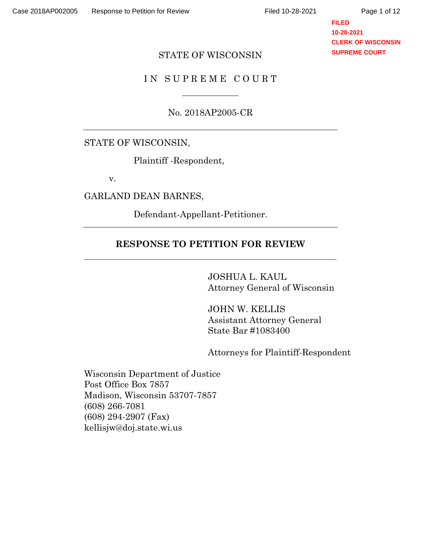#### **FILED 10-28-2021 CLERK OF WISCONSIN SUPREME COURT**

#### STATE OF WISCONSIN

### IN SUPREME COURT

No. 2018AP2005-CR

#### STATE OF WISCONSIN,

Plaintiff -Respondent,

v.

GARLAND DEAN BARNES,

Defendant-Appellant-Petitioner.

# **RESPONSE TO PETITION FOR REVIEW**

JOSHUA L. KAUL Attorney General of Wisconsin

JOHN W. KELLIS Assistant Attorney General State Bar #1083400

Attorneys for Plaintiff-Respondent

Wisconsin Department of Justice Post Office Box 7857 Madison, Wisconsin 53707-7857 (608) 266-7081 (608) 294-2907 (Fax) kellisjw@doj.state.wi.us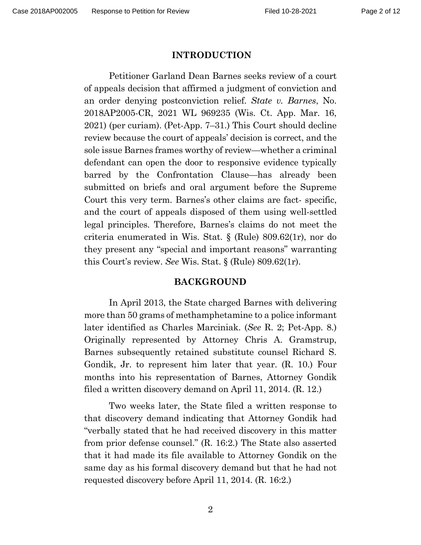#### **INTRODUCTION**

Petitioner Garland Dean Barnes seeks review of a court of appeals decision that affirmed a judgment of conviction and an order denying postconviction relief. *State v. Barnes*, No. 2018AP2005-CR, 2021 WL 969235 (Wis. Ct. App. Mar. 16, 2021) (per curiam). (Pet-App. 7–31.) This Court should decline review because the court of appeals' decision is correct, and the sole issue Barnes frames worthy of review—whether a criminal defendant can open the door to responsive evidence typically barred by the Confrontation Clause—has already been submitted on briefs and oral argument before the Supreme Court this very term. Barnes's other claims are fact- specific, and the court of appeals disposed of them using well-settled legal principles. Therefore, Barnes's claims do not meet the criteria enumerated in Wis. Stat. § (Rule) 809.62(1r), nor do they present any "special and important reasons" warranting this Court's review. *See* Wis. Stat. § (Rule) 809.62(1r).

#### **BACKGROUND**

In April 2013, the State charged Barnes with delivering more than 50 grams of methamphetamine to a police informant later identified as Charles Marciniak. (*See* R. 2; Pet-App. 8.) Originally represented by Attorney Chris A. Gramstrup, Barnes subsequently retained substitute counsel Richard S. Gondik, Jr. to represent him later that year. (R. 10.) Four months into his representation of Barnes, Attorney Gondik filed a written discovery demand on April 11, 2014. (R. 12.)

Two weeks later, the State filed a written response to that discovery demand indicating that Attorney Gondik had "verbally stated that he had received discovery in this matter from prior defense counsel." (R. 16:2.) The State also asserted that it had made its file available to Attorney Gondik on the same day as his formal discovery demand but that he had not requested discovery before April 11, 2014. (R. 16:2.)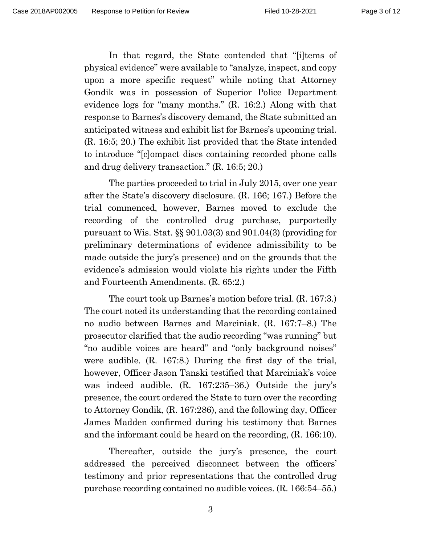In that regard, the State contended that "[i]tems of physical evidence" were available to "analyze, inspect, and copy upon a more specific request" while noting that Attorney Gondik was in possession of Superior Police Department evidence logs for "many months." (R. 16:2.) Along with that response to Barnes's discovery demand, the State submitted an anticipated witness and exhibit list for Barnes's upcoming trial. (R. 16:5; 20.) The exhibit list provided that the State intended to introduce "[c]ompact discs containing recorded phone calls and drug delivery transaction." (R. 16:5; 20.)

The parties proceeded to trial in July 2015, over one year after the State's discovery disclosure. (R. 166; 167.) Before the trial commenced, however, Barnes moved to exclude the recording of the controlled drug purchase, purportedly pursuant to Wis. Stat. §§ 901.03(3) and 901.04(3) (providing for preliminary determinations of evidence admissibility to be made outside the jury's presence) and on the grounds that the evidence's admission would violate his rights under the Fifth and Fourteenth Amendments. (R. 65:2.)

The court took up Barnes's motion before trial. (R. 167:3.) The court noted its understanding that the recording contained no audio between Barnes and Marciniak. (R. 167:7–8.) The prosecutor clarified that the audio recording "was running" but "no audible voices are heard" and "only background noises" were audible. (R. 167:8.) During the first day of the trial, however, Officer Jason Tanski testified that Marciniak's voice was indeed audible. (R. 167:235–36.) Outside the jury's presence, the court ordered the State to turn over the recording to Attorney Gondik, (R. 167:286), and the following day, Officer James Madden confirmed during his testimony that Barnes and the informant could be heard on the recording, (R. 166:10).

Thereafter, outside the jury's presence, the court addressed the perceived disconnect between the officers' testimony and prior representations that the controlled drug purchase recording contained no audible voices. (R. 166:54–55.)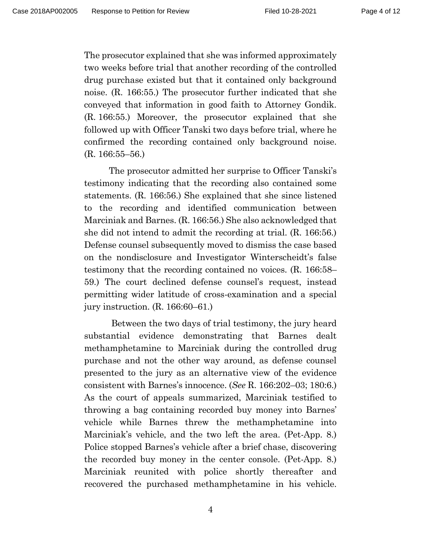The prosecutor explained that she was informed approximately two weeks before trial that another recording of the controlled drug purchase existed but that it contained only background noise. (R. 166:55.) The prosecutor further indicated that she conveyed that information in good faith to Attorney Gondik. (R. 166:55.) Moreover, the prosecutor explained that she followed up with Officer Tanski two days before trial, where he confirmed the recording contained only background noise. (R. 166:55–56.)

The prosecutor admitted her surprise to Officer Tanski's testimony indicating that the recording also contained some statements. (R. 166:56.) She explained that she since listened to the recording and identified communication between Marciniak and Barnes. (R. 166:56.) She also acknowledged that she did not intend to admit the recording at trial. (R. 166:56.) Defense counsel subsequently moved to dismiss the case based on the nondisclosure and Investigator Winterscheidt's false testimony that the recording contained no voices. (R. 166:58– 59.) The court declined defense counsel's request, instead permitting wider latitude of cross-examination and a special jury instruction. (R. 166:60–61.)

Between the two days of trial testimony, the jury heard substantial evidence demonstrating that Barnes dealt methamphetamine to Marciniak during the controlled drug purchase and not the other way around, as defense counsel presented to the jury as an alternative view of the evidence consistent with Barnes's innocence. (*See* R. 166:202–03; 180:6.) As the court of appeals summarized, Marciniak testified to throwing a bag containing recorded buy money into Barnes' vehicle while Barnes threw the methamphetamine into Marciniak's vehicle, and the two left the area. (Pet-App. 8.) Police stopped Barnes's vehicle after a brief chase, discovering the recorded buy money in the center console. (Pet-App. 8.) Marciniak reunited with police shortly thereafter and recovered the purchased methamphetamine in his vehicle.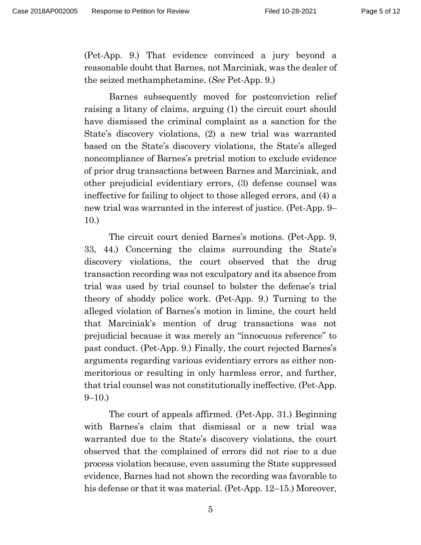(Pet-App. 9.) That evidence convinced a jury beyond a reasonable doubt that Barnes, not Marciniak, was the dealer of the seized methamphetamine. (*See* Pet-App. 9.)

Barnes subsequently moved for postconviction relief raising a litany of claims, arguing (1) the circuit court should have dismissed the criminal complaint as a sanction for the State's discovery violations, (2) a new trial was warranted based on the State's discovery violations, the State's alleged noncompliance of Barnes's pretrial motion to exclude evidence of prior drug transactions between Barnes and Marciniak, and other prejudicial evidentiary errors, (3) defense counsel was ineffective for failing to object to those alleged errors, and (4) a new trial was warranted in the interest of justice. (Pet-App. 9– 10.)

The circuit court denied Barnes's motions. (Pet-App. 9, 33, 44.) Concerning the claims surrounding the State's discovery violations, the court observed that the drug transaction recording was not exculpatory and its absence from trial was used by trial counsel to bolster the defense's trial theory of shoddy police work. (Pet-App. 9.) Turning to the alleged violation of Barnes's motion in limine, the court held that Marciniak's mention of drug transactions was not prejudicial because it was merely an "innocuous reference" to past conduct. (Pet-App. 9.) Finally, the court rejected Barnes's arguments regarding various evidentiary errors as either nonmeritorious or resulting in only harmless error, and further, that trial counsel was not constitutionally ineffective. (Pet-App.  $9-10.$ )

The court of appeals affirmed. (Pet-App. 31.) Beginning with Barnes's claim that dismissal or a new trial was warranted due to the State's discovery violations, the court observed that the complained of errors did not rise to a due process violation because, even assuming the State suppressed evidence, Barnes had not shown the recording was favorable to his defense or that it was material. (Pet-App. 12–15.) Moreover,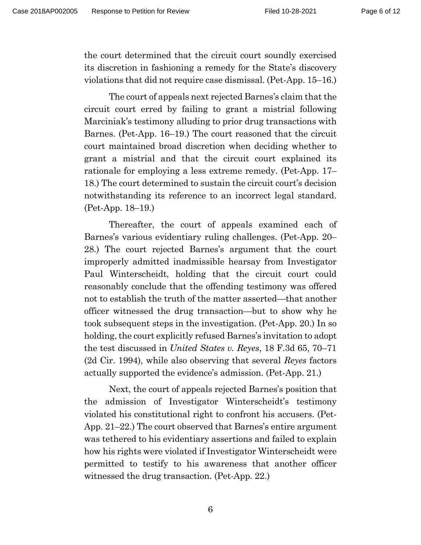the court determined that the circuit court soundly exercised its discretion in fashioning a remedy for the State's discovery violations that did not require case dismissal. (Pet-App. 15–16.)

The court of appeals next rejected Barnes's claim that the circuit court erred by failing to grant a mistrial following Marciniak's testimony alluding to prior drug transactions with Barnes. (Pet-App. 16–19.) The court reasoned that the circuit court maintained broad discretion when deciding whether to grant a mistrial and that the circuit court explained its rationale for employing a less extreme remedy. (Pet-App. 17– 18.) The court determined to sustain the circuit court's decision notwithstanding its reference to an incorrect legal standard. (Pet-App. 18–19.)

Thereafter, the court of appeals examined each of Barnes's various evidentiary ruling challenges. (Pet-App. 20– 28.) The court rejected Barnes's argument that the court improperly admitted inadmissible hearsay from Investigator Paul Winterscheidt, holding that the circuit court could reasonably conclude that the offending testimony was offered not to establish the truth of the matter asserted—that another officer witnessed the drug transaction—but to show why he took subsequent steps in the investigation. (Pet-App. 20.) In so holding, the court explicitly refused Barnes's invitation to adopt the test discussed in *United States v. Reyes*, 18 F.3d 65, 70–71 (2d Cir. 1994), while also observing that several *Reyes* factors actually supported the evidence's admission. (Pet-App. 21.)

Next, the court of appeals rejected Barnes's position that the admission of Investigator Winterscheidt's testimony violated his constitutional right to confront his accusers. (Pet-App. 21–22.) The court observed that Barnes's entire argument was tethered to his evidentiary assertions and failed to explain how his rights were violated if Investigator Winterscheidt were permitted to testify to his awareness that another officer witnessed the drug transaction. (Pet-App. 22.)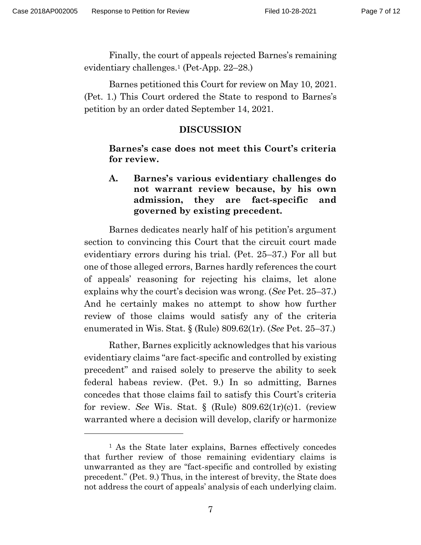Finally, the court of appeals rejected Barnes's remaining evidentiary challenges.<sup>1</sup> (Pet-App. 22–28.)

Barnes petitioned this Court for review on May 10, 2021. (Pet. 1.) This Court ordered the State to respond to Barnes's petition by an order dated September 14, 2021.

## **DISCUSSION**

**Barnes's case does not meet this Court's criteria for review.**

**A. Barnes's various evidentiary challenges do not warrant review because, by his own admission, they are fact-specific and governed by existing precedent.**

Barnes dedicates nearly half of his petition's argument section to convincing this Court that the circuit court made evidentiary errors during his trial. (Pet. 25–37.) For all but one of those alleged errors, Barnes hardly references the court of appeals' reasoning for rejecting his claims, let alone explains why the court's decision was wrong. (*See* Pet. 25–37.) And he certainly makes no attempt to show how further review of those claims would satisfy any of the criteria enumerated in Wis. Stat. § (Rule) 809.62(1r). (*See* Pet. 25–37.)

Rather, Barnes explicitly acknowledges that his various evidentiary claims "are fact-specific and controlled by existing precedent" and raised solely to preserve the ability to seek federal habeas review. (Pet. 9.) In so admitting, Barnes concedes that those claims fail to satisfy this Court's criteria for review. *See* Wis. Stat. § (Rule) 809.62(1r)(c)1. (review warranted where a decision will develop, clarify or harmonize

<sup>1</sup> As the State later explains, Barnes effectively concedes that further review of those remaining evidentiary claims is unwarranted as they are "fact-specific and controlled by existing precedent." (Pet. 9.) Thus, in the interest of brevity, the State does not address the court of appeals' analysis of each underlying claim.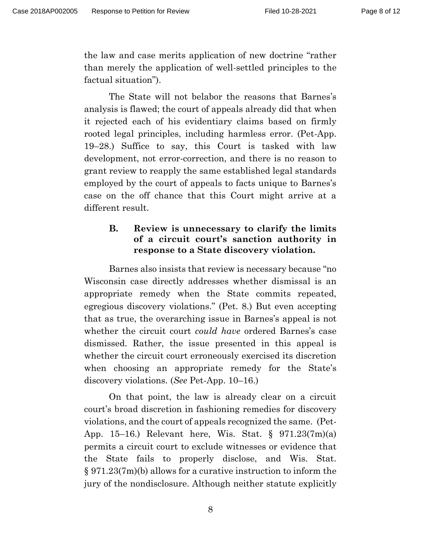the law and case merits application of new doctrine "rather than merely the application of well-settled principles to the factual situation").

The State will not belabor the reasons that Barnes's analysis is flawed; the court of appeals already did that when it rejected each of his evidentiary claims based on firmly rooted legal principles, including harmless error. (Pet-App. 19–28.) Suffice to say, this Court is tasked with law development, not error-correction, and there is no reason to grant review to reapply the same established legal standards employed by the court of appeals to facts unique to Barnes's case on the off chance that this Court might arrive at a different result.

# **B. Review is unnecessary to clarify the limits of a circuit court's sanction authority in response to a State discovery violation.**

Barnes also insists that review is necessary because "no Wisconsin case directly addresses whether dismissal is an appropriate remedy when the State commits repeated, egregious discovery violations." (Pet. 8.) But even accepting that as true, the overarching issue in Barnes's appeal is not whether the circuit court *could have* ordered Barnes's case dismissed. Rather, the issue presented in this appeal is whether the circuit court erroneously exercised its discretion when choosing an appropriate remedy for the State's discovery violations. (*See* Pet-App. 10–16.)

On that point, the law is already clear on a circuit court's broad discretion in fashioning remedies for discovery violations, and the court of appeals recognized the same. (Pet-App. 15–16.) Relevant here, Wis. Stat. § 971.23(7m)(a) permits a circuit court to exclude witnesses or evidence that the State fails to properly disclose, and Wis. Stat. § 971.23(7m)(b) allows for a curative instruction to inform the jury of the nondisclosure. Although neither statute explicitly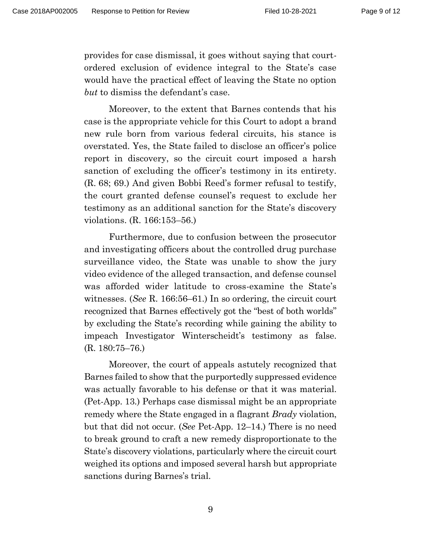provides for case dismissal, it goes without saying that courtordered exclusion of evidence integral to the State's case would have the practical effect of leaving the State no option *but* to dismiss the defendant's case.

Moreover, to the extent that Barnes contends that his case is the appropriate vehicle for this Court to adopt a brand new rule born from various federal circuits, his stance is overstated. Yes, the State failed to disclose an officer's police report in discovery, so the circuit court imposed a harsh sanction of excluding the officer's testimony in its entirety. (R. 68; 69.) And given Bobbi Reed's former refusal to testify, the court granted defense counsel's request to exclude her testimony as an additional sanction for the State's discovery violations. (R. 166:153–56.)

Furthermore, due to confusion between the prosecutor and investigating officers about the controlled drug purchase surveillance video, the State was unable to show the jury video evidence of the alleged transaction, and defense counsel was afforded wider latitude to cross-examine the State's witnesses. (*See* R. 166:56–61.) In so ordering, the circuit court recognized that Barnes effectively got the "best of both worlds" by excluding the State's recording while gaining the ability to impeach Investigator Winterscheidt's testimony as false. (R. 180:75–76.)

Moreover, the court of appeals astutely recognized that Barnes failed to show that the purportedly suppressed evidence was actually favorable to his defense or that it was material. (Pet-App. 13.) Perhaps case dismissal might be an appropriate remedy where the State engaged in a flagrant *Brady* violation, but that did not occur. (*See* Pet-App. 12–14.) There is no need to break ground to craft a new remedy disproportionate to the State's discovery violations, particularly where the circuit court weighed its options and imposed several harsh but appropriate sanctions during Barnes's trial.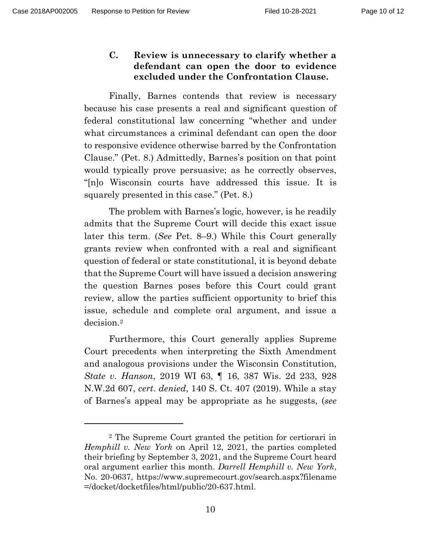**C. Review is unnecessary to clarify whether a defendant can open the door to evidence excluded under the Confrontation Clause.** 

Finally, Barnes contends that review is necessary because his case presents a real and significant question of federal constitutional law concerning "whether and under what circumstances a criminal defendant can open the door to responsive evidence otherwise barred by the Confrontation Clause." (Pet. 8.) Admittedly, Barnes's position on that point would typically prove persuasive; as he correctly observes, "[n]o Wisconsin courts have addressed this issue. It is squarely presented in this case." (Pet. 8.)

The problem with Barnes's logic, however, is he readily admits that the Supreme Court will decide this exact issue later this term. (*See* Pet. 8–9.) While this Court generally grants review when confronted with a real and significant question of federal or state constitutional, it is beyond debate that the Supreme Court will have issued a decision answering the question Barnes poses before this Court could grant review, allow the parties sufficient opportunity to brief this issue, schedule and complete oral argument, and issue a decision.<sup>2</sup>

Furthermore, this Court generally applies Supreme Court precedents when interpreting the Sixth Amendment and analogous provisions under the Wisconsin Constitution, *State v. Hanson*, 2019 WI 63, ¶ 16, 387 Wis. 2d 233, 928 N.W.2d 607, *cert*. *denied*, 140 S. Ct. 407 (2019). While a stay of Barnes's appeal may be appropriate as he suggests, (*see*

<sup>2</sup> The Supreme Court granted the petition for certiorari in *Hemphill v. New York* on April 12, 2021, the parties completed their briefing by September 3, 2021, and the Supreme Court heard oral argument earlier this month. *Darrell Hemphill v. New York*, No. 20-0637,<https://www.supremecourt.gov/search.aspx?filename> =/docket/docketfiles/html/public/20-637.html.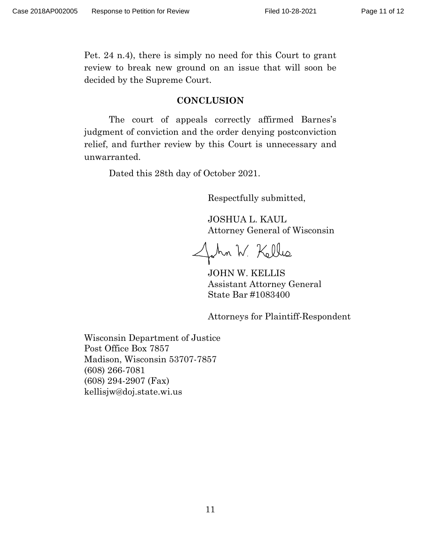Pet. 24 n.4), there is simply no need for this Court to grant review to break new ground on an issue that will soon be decided by the Supreme Court.

#### **CONCLUSION**

The court of appeals correctly affirmed Barnes's judgment of conviction and the order denying postconviction relief, and further review by this Court is unnecessary and unwarranted.

Dated this 28th day of October 2021.

Respectfully submitted,

JOSHUA L. KAUL Attorney General of Wisconsin

John W. Kelles

JOHN W. KELLIS Assistant Attorney General State Bar #1083400

Attorneys for Plaintiff-Respondent

Wisconsin Department of Justice Post Office Box 7857 Madison, Wisconsin 53707-7857 (608) 266-7081 (608) 294-2907 (Fax) kellisjw@doj.state.wi.us